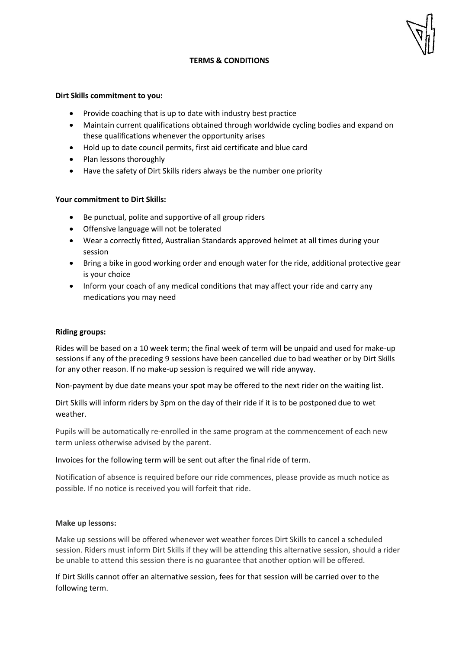

## **TERMS & CONDITIONS**

#### **Dirt Skills commitment to you:**

- Provide coaching that is up to date with industry best practice
- Maintain current qualifications obtained through worldwide cycling bodies and expand on these qualifications whenever the opportunity arises
- Hold up to date council permits, first aid certificate and blue card
- Plan lessons thoroughly
- Have the safety of Dirt Skills riders always be the number one priority

## **Your commitment to Dirt Skills:**

- Be punctual, polite and supportive of all group riders
- Offensive language will not be tolerated
- Wear a correctly fitted, Australian Standards approved helmet at all times during your session
- Bring a bike in good working order and enough water for the ride, additional protective gear is your choice
- Inform your coach of any medical conditions that may affect your ride and carry any medications you may need

## **Riding groups:**

Rides will be based on a 10 week term; the final week of term will be unpaid and used for make-up sessions if any of the preceding 9 sessions have been cancelled due to bad weather or by Dirt Skills for any other reason. If no make-up session is required we will ride anyway.

Non-payment by due date means your spot may be offered to the next rider on the waiting list.

Dirt Skills will inform riders by 3pm on the day of their ride if it is to be postponed due to wet weather.

Pupils will be automatically re-enrolled in the same program at the commencement of each new term unless otherwise advised by the parent.

## Invoices for the following term will be sent out after the final ride of term.

Notification of absence is required before our ride commences, please provide as much notice as possible. If no notice is received you will forfeit that ride.

#### **Make up lessons:**

Make up sessions will be offered whenever wet weather forces Dirt Skills to cancel a scheduled session. Riders must inform Dirt Skills if they will be attending this alternative session, should a rider be unable to attend this session there is no guarantee that another option will be offered.

If Dirt Skills cannot offer an alternative session, fees for that session will be carried over to the following term.